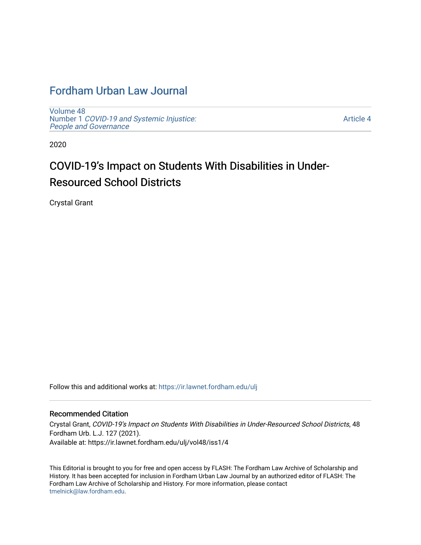## [Fordham Urban Law Journal](https://ir.lawnet.fordham.edu/ulj)

[Volume 48](https://ir.lawnet.fordham.edu/ulj/vol48) Number 1 [COVID-19 and Systemic Injustice:](https://ir.lawnet.fordham.edu/ulj/vol48/iss1) [People and Governance](https://ir.lawnet.fordham.edu/ulj/vol48/iss1) 

[Article 4](https://ir.lawnet.fordham.edu/ulj/vol48/iss1/4) 

2020

# COVID-19's Impact on Students With Disabilities in Under-Resourced School Districts

Crystal Grant

Follow this and additional works at: [https://ir.lawnet.fordham.edu/ulj](https://ir.lawnet.fordham.edu/ulj?utm_source=ir.lawnet.fordham.edu%2Fulj%2Fvol48%2Fiss1%2F4&utm_medium=PDF&utm_campaign=PDFCoverPages) 

#### Recommended Citation

Crystal Grant, COVID-19's Impact on Students With Disabilities in Under-Resourced School Districts, 48 Fordham Urb. L.J. 127 (2021). Available at: https://ir.lawnet.fordham.edu/ulj/vol48/iss1/4

This Editorial is brought to you for free and open access by FLASH: The Fordham Law Archive of Scholarship and History. It has been accepted for inclusion in Fordham Urban Law Journal by an authorized editor of FLASH: The Fordham Law Archive of Scholarship and History. For more information, please contact [tmelnick@law.fordham.edu](mailto:tmelnick@law.fordham.edu).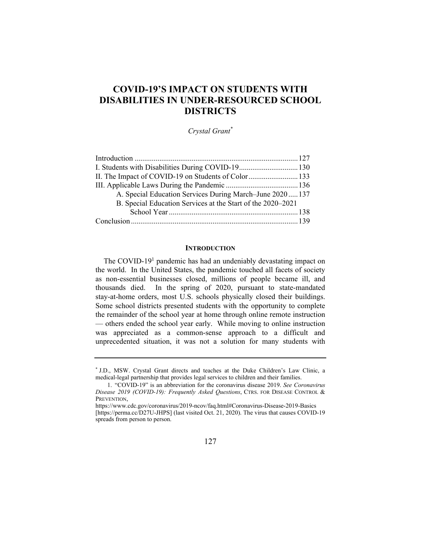### **COVID-19'S IMPACT ON STUDENTS WITH DISABILITIES IN UNDER-RESOURCED SCHOOL DISTRICTS**

*Crystal Grant\** 

| I. Students with Disabilities During COVID-19 130           |  |
|-------------------------------------------------------------|--|
| II. The Impact of COVID-19 on Students of Color 133         |  |
|                                                             |  |
| A. Special Education Services During March-June 2020 137    |  |
| B. Special Education Services at the Start of the 2020–2021 |  |
|                                                             |  |
|                                                             |  |

#### **INTRODUCTION**

The COVID-19<sup>1</sup> pandemic has had an undeniably devastating impact on the world. In the United States, the pandemic touched all facets of society as non-essential businesses closed, millions of people became ill, and thousands died. In the spring of 2020, pursuant to state-mandated stay-at-home orders, most U.S. schools physically closed their buildings. Some school districts presented students with the opportunity to complete the remainder of the school year at home through online remote instruction — others ended the school year early. While moving to online instruction was appreciated as a common-sense approach to a difficult and unprecedented situation, it was not a solution for many students with

<sup>\*</sup> J.D., MSW. Crystal Grant directs and teaches at the Duke Children's Law Clinic, a medical-legal partnership that provides legal services to children and their families.

 <sup>1. &</sup>quot;COVID-19" is an abbreviation for the coronavirus disease 2019. *See Coronavirus Disease 2019 (COVID-19): Frequently Asked Questions*, CTRS. FOR DISEASE CONTROL & PREVENTION,

https://www.cdc.gov/coronavirus/2019-ncov/faq.html#Coronavirus-Disease-2019-Basics [https://perma.cc/D27U-JHPS] (last visited Oct. 21, 2020). The virus that causes COVID-19 spreads from person to person.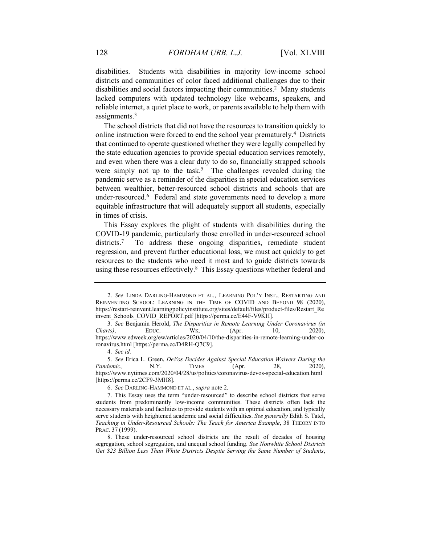disabilities. Students with disabilities in majority low-income school districts and communities of color faced additional challenges due to their disabilities and social factors impacting their communities.<sup>2</sup> Many students lacked computers with updated technology like webcams, speakers, and reliable internet, a quiet place to work, or parents available to help them with assignments.<sup>3</sup>

The school districts that did not have the resources to transition quickly to online instruction were forced to end the school year prematurely.4 Districts that continued to operate questioned whether they were legally compelled by the state education agencies to provide special education services remotely, and even when there was a clear duty to do so, financially strapped schools were simply not up to the task.<sup>5</sup> The challenges revealed during the pandemic serve as a reminder of the disparities in special education services between wealthier, better-resourced school districts and schools that are under-resourced.<sup>6</sup> Federal and state governments need to develop a more equitable infrastructure that will adequately support all students, especially in times of crisis.

This Essay explores the plight of students with disabilities during the COVID-19 pandemic, particularly those enrolled in under-resourced school districts.<sup>7</sup> To address these ongoing disparities, remediate student regression, and prevent further educational loss, we must act quickly to get resources to the students who need it most and to guide districts towards using these resources effectively.<sup>8</sup> This Essay questions whether federal and

<sup>2.</sup> *See* LINDA DARLING-HAMMOND ET AL., LEARNING POL'Y INST., RESTARTING AND REINVENTING SCHOOL: LEARNING IN THE TIME OF COVID AND BEYOND 98 (2020), https://restart-reinvent.learningpolicyinstitute.org/sites/default/files/product-files/Restart\_Re invent\_Schools\_COVID\_REPORT.pdf [https://perma.cc/E44F-V9KH].

<sup>3.</sup> *See* Benjamin Herold, *The Disparities in Remote Learning Under Coronavirus (in Charts)*, EDUC. WK. (Apr. 10, 2020), https://www.edweek.org/ew/articles/2020/04/10/the-disparities-in-remote-learning-under-co ronavirus.html [https://perma.cc/D4RH-Q7C9].

<sup>4.</sup> *See id.*

<sup>5.</sup> *See* Erica L. Green, *DeVos Decides Against Special Education Waivers During the Pandemic*, N.Y. TIMES (Apr. 28, 2020), https://www.nytimes.com/2020/04/28/us/politics/coronavirus-devos-special-education.html [https://perma.cc/2CF9-3MH8].

<sup>6.</sup> *See* DARLING-HAMMOND ET AL., *supra* note 2.

 <sup>7.</sup> This Essay uses the term "under-resourced" to describe school districts that serve students from predominantly low-income communities. These districts often lack the necessary materials and facilities to provide students with an optimal education, and typically serve students with heightened academic and social difficulties. *See generally* Edith S. Tatel, *Teaching in Under-Resourced Schools: The Teach for America Example*, 38 THEORY INTO PRAC. 37 (1999).

 <sup>8.</sup> These under-resourced school districts are the result of decades of housing segregation, school segregation, and unequal school funding. *See Nonwhite School Districts Get \$23 Billion Less Than White Districts Despite Serving the Same Number of Students*,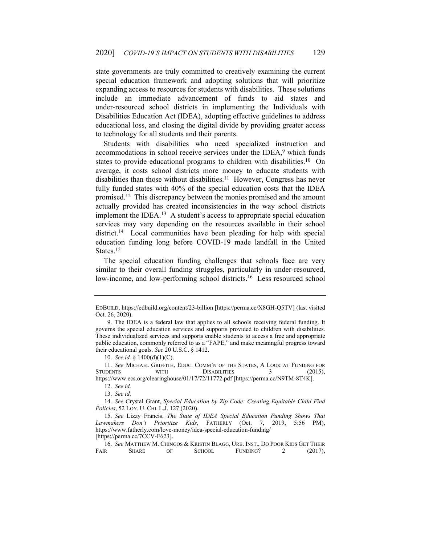state governments are truly committed to creatively examining the current special education framework and adopting solutions that will prioritize expanding access to resources for students with disabilities. These solutions include an immediate advancement of funds to aid states and under-resourced school districts in implementing the Individuals with Disabilities Education Act (IDEA), adopting effective guidelines to address educational loss, and closing the digital divide by providing greater access to technology for all students and their parents.

Students with disabilities who need specialized instruction and accommodations in school receive services under the IDEA,<sup>9</sup> which funds states to provide educational programs to children with disabilities.<sup>10</sup> On average, it costs school districts more money to educate students with disabilities than those without disabilities.<sup>11</sup> However, Congress has never fully funded states with 40% of the special education costs that the IDEA promised.12 This discrepancy between the monies promised and the amount actually provided has created inconsistencies in the way school districts implement the IDEA.<sup>13</sup> A student's access to appropriate special education services may vary depending on the resources available in their school district.<sup>14</sup> Local communities have been pleading for help with special education funding long before COVID-19 made landfall in the United States.<sup>15</sup>

The special education funding challenges that schools face are very similar to their overall funding struggles, particularly in under-resourced, low-income, and low-performing school districts.<sup>16</sup> Less resourced school

10. *See id.* § 1400(d)(1)(C).

EDBUILD, https://edbuild.org/content/23-billion [https://perma.cc/X8GH-Q5TV] (last visited Oct. 26, 2020).

 <sup>9.</sup> The IDEA is a federal law that applies to all schools receiving federal funding. It governs the special education services and supports provided to children with disabilities. These individualized services and supports enable students to access a free and appropriate public education, commonly referred to as a "FAPE," and make meaningful progress toward their educational goals. *See* 20 U.S.C. § 1412.

<sup>11.</sup> See MICHAEL GRIFFITH, EDUC. COMM'N OF THE STATES, A LOOK AT FUNDING FOR STUDENTS WITH DISABILITIES 3 (2015). WITH DISABILITIES 3 (2015), https://www.ecs.org/clearinghouse/01/17/72/11772.pdf [https://perma.cc/N9TM-8T4K].

<sup>12.</sup> *See id.* 

<sup>13.</sup> *See id.*

<sup>14.</sup> *See* Crystal Grant, *Special Education by Zip Code: Creating Equitable Child Find Policies*, 52 LOY. U. CHI. L.J. 127 (2020).

<sup>15.</sup> *See* Lizzy Francis, *The State of IDEA Special Education Funding Shows That Lawmakers Don't Prioritize Kids*, FATHERLY (Oct. 7, 2019, 5:56 PM), https://www.fatherly.com/love-money/idea-special-education-funding/ [https://perma.cc/7CCV-F623].

<sup>16.</sup> *See* MATTHEW M. CHINGOS & KRISTIN BLAGG, URB. INST., DO POOR KIDS GET THEIR FAIR SHARE OF SCHOOL FUNDING? 2 (2017),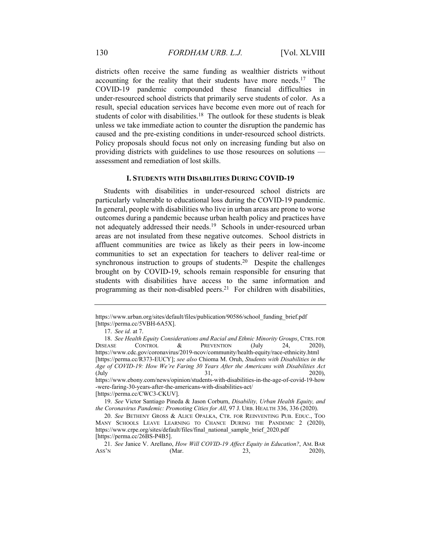districts often receive the same funding as wealthier districts without accounting for the reality that their students have more needs.<sup>17</sup> The COVID-19 pandemic compounded these financial difficulties in under-resourced school districts that primarily serve students of color. As a result, special education services have become even more out of reach for students of color with disabilities.<sup>18</sup> The outlook for these students is bleak unless we take immediate action to counter the disruption the pandemic has caused and the pre-existing conditions in under-resourced school districts. Policy proposals should focus not only on increasing funding but also on providing districts with guidelines to use those resources on solutions assessment and remediation of lost skills.

#### **I. STUDENTS WITH DISABILITIES DURING COVID-19**

Students with disabilities in under-resourced school districts are particularly vulnerable to educational loss during the COVID-19 pandemic. In general, people with disabilities who live in urban areas are prone to worse outcomes during a pandemic because urban health policy and practices have not adequately addressed their needs.<sup>19</sup> Schools in under-resourced urban areas are not insulated from these negative outcomes. School districts in affluent communities are twice as likely as their peers in low-income communities to set an expectation for teachers to deliver real-time or synchronous instruction to groups of students.<sup>20</sup> Despite the challenges brought on by COVID-19, schools remain responsible for ensuring that students with disabilities have access to the same information and programming as their non-disabled peers.<sup>21</sup> For children with disabilities,

https://www.urban.org/sites/default/files/publication/90586/school\_funding\_brief.pdf [https://perma.cc/5VBH-6A5X].

<sup>17.</sup> *See id.* at 7.

<sup>18.</sup> *See Health Equity Considerations and Racial and Ethnic Minority Groups*, CTRS. FOR<br>EASE CONTROL & PREVENTION (July 24, 2020). DISEASE CONTROL & PREVENTION (July 24, 2020), https://www.cdc.gov/coronavirus/2019-ncov/community/health-equity/race-ethnicity.html [https://perma.cc/R373-EUCY]; *see also* Chioma M. Oruh, *Students with Disabilities in the Age of COVID-19: How We're Faring 30 Years After the Americans with Disabilities Act* (July 31, 2020), https://www.ebony.com/news/opinion/students-with-disabilities-in-the-age-of-covid-19-how -were-faring-30-years-after-the-americans-with-disabilities-act/

<sup>[</sup>https://perma.cc/CWC3-CKUV].

<sup>19.</sup> *See* Victor Santiago Pineda & Jason Corburn, *Disability, Urban Health Equity, and the Coronavirus Pandemic: Promoting Cities for All*, 97 J. URB. HEALTH 336, 336 (2020).

<sup>20.</sup> *See* BETHENY GROSS & ALICE OPALKA, CTR. FOR REINVENTING PUB. EDUC., TOO MANY SCHOOLS LEAVE LEARNING TO CHANCE DURING THE PANDEMIC 2 (2020), https://www.crpe.org/sites/default/files/final\_national\_sample\_brief\_2020.pdf [https://perma.cc/26BS-P4B5].

<sup>21.</sup> *See* Janice V. Arellano, *How Will COVID-19 Affect Equity in Education?*, AM. BAR Ass'N (Mar. 23, 2020),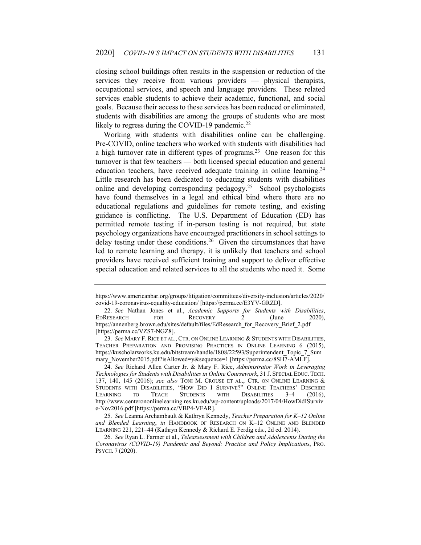closing school buildings often results in the suspension or reduction of the services they receive from various providers — physical therapists, occupational services, and speech and language providers. These related services enable students to achieve their academic, functional, and social goals. Because their access to these services has been reduced or eliminated, students with disabilities are among the groups of students who are most likely to regress during the COVID-19 pandemic.<sup>22</sup>

Working with students with disabilities online can be challenging. Pre-COVID, online teachers who worked with students with disabilities had a high turnover rate in different types of programs.<sup>23</sup> One reason for this turnover is that few teachers — both licensed special education and general education teachers, have received adequate training in online learning.<sup>24</sup> Little research has been dedicated to educating students with disabilities online and developing corresponding pedagogy.25 School psychologists have found themselves in a legal and ethical bind where there are no educational regulations and guidelines for remote testing, and existing guidance is conflicting. The U.S. Department of Education (ED) has permitted remote testing if in-person testing is not required, but state psychology organizations have encouraged practitioners in school settings to delay testing under these conditions.<sup>26</sup> Given the circumstances that have led to remote learning and therapy, it is unlikely that teachers and school providers have received sufficient training and support to deliver effective special education and related services to all the students who need it. Some

https://www.americanbar.org/groups/litigation/committees/diversity-inclusion/articles/2020/ covid-19-coronavirus-equality-education/ [https://perma.cc/E3YV-GRZD].

<sup>22.</sup> *See* Nathan Jones et al., *Academic Supports for Students with Disabilities*, EDRESEARCH FOR RECOVERY 2 (June 2020), https://annenberg.brown.edu/sites/default/files/EdResearch\_for\_Recovery\_Brief\_2.pdf [https://perma.cc/VZS7-NGZ8].

<sup>23.</sup> *See* MARY F. RICE ET AL., CTR. ON ONLINE LEARNING & STUDENTS WITH DISABILITIES, TEACHER PREPARATION AND PROMISING PRACTICES IN ONLINE LEARNING 6 (2015), https://kuscholarworks.ku.edu/bitstream/handle/1808/22593/Superintendent\_Topic\_7\_Sum mary\_November2015.pdf?isAllowed=y&sequence=1 [https://perma.cc/8SH7-AMLF].

<sup>24.</sup> *See* Richard Allen Carter Jr. & Mary F. Rice, *Administrator Work in Leveraging Technologies for Students with Disabilities in Online Coursework*, 31 J. SPECIAL EDUC. TECH. 137, 140, 145 (2016); *see also* TONI M. CROUSE ET AL., CTR. ON ONLINE LEARNING & STUDENTS WITH DISABILITIES, "HOW DID I SURVIVE?" ONLINE TEACHERS' DESCRIBE LEARNING TO TEACH STUDENTS WITH DISABILITIES 3-4 (2016), http://www.centerononlinelearning.res.ku.edu/wp-content/uploads/2017/04/HowDidISurviv e-Nov2016.pdf [https://perma.cc/VBP4-VFAR].

<sup>25.</sup> *See* Leanna Archambault & Kathryn Kennedy, *Teacher Preparation for K–12 Online and Blended Learning*, *in* HANDBOOK OF RESEARCH ON K–12 ONLINE AND BLENDED LEARNING 221, 221–44 (Kathryn Kennedy & Richard E. Ferdig eds., 2d ed. 2014).

<sup>26.</sup> *See* Ryan L. Farmer et al., *Teleassessment with Children and Adolescents During the Coronavirus (COVID-19) Pandemic and Beyond: Practice and Policy Implications*, PRO. PSYCH. 7 (2020).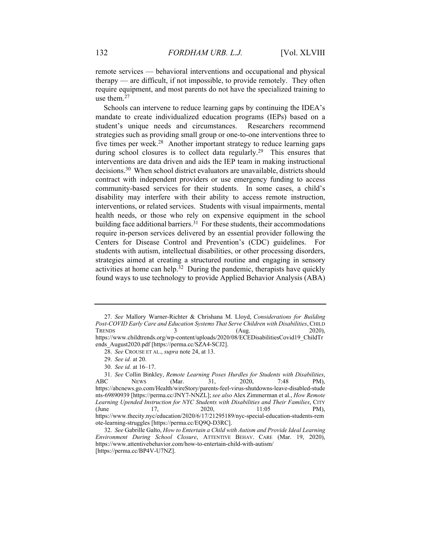remote services — behavioral interventions and occupational and physical therapy — are difficult, if not impossible, to provide remotely. They often require equipment, and most parents do not have the specialized training to use them.27

Schools can intervene to reduce learning gaps by continuing the IDEA's mandate to create individualized education programs (IEPs) based on a student's unique needs and circumstances. Researchers recommend strategies such as providing small group or one-to-one interventions three to five times per week.<sup>28</sup> Another important strategy to reduce learning gaps during school closures is to collect data regularly.<sup>29</sup> This ensures that interventions are data driven and aids the IEP team in making instructional decisions.30 When school district evaluators are unavailable, districts should contract with independent providers or use emergency funding to access community-based services for their students. In some cases, a child's disability may interfere with their ability to access remote instruction, interventions, or related services. Students with visual impairments, mental health needs, or those who rely on expensive equipment in the school building face additional barriers.<sup>31</sup> For these students, their accommodations require in-person services delivered by an essential provider following the Centers for Disease Control and Prevention's (CDC) guidelines. For students with autism, intellectual disabilities, or other processing disorders, strategies aimed at creating a structured routine and engaging in sensory activities at home can help.<sup>32</sup> During the pandemic, therapists have quickly found ways to use technology to provide Applied Behavior Analysis (ABA)

<sup>27.</sup> *See* Mallory Warner-Richter & Chrishana M. Lloyd, *Considerations for Building Post-COVID Early Care and Education Systems That Serve Children with Disabilities*,CHILD  $T$ RENDS  $3$   $(Aug. 2020),$ https://www.childtrends.org/wp-content/uploads/2020/08/ECEDisabilitiesCovid19\_ChildTr ends\_August2020.pdf [https://perma.cc/SZA4-SCJ2].

<sup>28.</sup> *See* CROUSE ET AL., *supra* note 24, at 13.

<sup>29.</sup> *See id.* at 20.

<sup>30.</sup> *See id.* at 16–17.

<sup>31.</sup> *See* Collin Binkley, *Remote Learning Poses Hurdles for Students with Disabilities*, ABC NEWS (Mar. 31, 2020, 7:48 PM), https://abcnews.go.com/Health/wireStory/parents-feel-virus-shutdowns-leave-disabled-stude nts-69890939 [https://perma.cc/JNY7-NNZL]; *see also* Alex Zimmerman et al., *How Remote Learning Upended Instruction for NYC Students with Disabilities and Their Families*, CITY (June 17, 2020, 11:05 PM), https://www.thecity.nyc/education/2020/6/17/21295189/nyc-special-education-students-rem ote-learning-struggles [https://perma.cc/EQ9Q-D3RC].

<sup>32.</sup> *See* Gabrille Galto, *How to Entertain a Child with Autism and Provide Ideal Learning Environment During School Closure*, ATTENTIVE BEHAV. CARE (Mar. 19, 2020), https://www.attentivebehavior.com/how-to-entertain-child-with-autism/ [https://perma.cc/BP4V-U7NZ].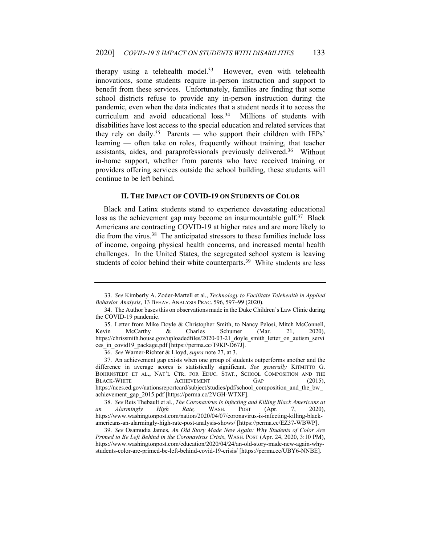therapy using a telehealth model. $33$  However, even with telehealth innovations, some students require in-person instruction and support to benefit from these services. Unfortunately, families are finding that some school districts refuse to provide any in-person instruction during the pandemic, even when the data indicates that a student needs it to access the curriculum and avoid educational loss.<sup>34</sup> Millions of students with disabilities have lost access to the special education and related services that they rely on daily.<sup>35</sup> Parents — who support their children with IEPs' learning — often take on roles, frequently without training, that teacher assistants, aides, and paraprofessionals previously delivered.36 Without in-home support, whether from parents who have received training or providers offering services outside the school building, these students will continue to be left behind.

#### **II. THE IMPACT OF COVID-19 ON STUDENTS OF COLOR**

Black and Latinx students stand to experience devastating educational loss as the achievement gap may become an insurmountable gulf.<sup>37</sup> Black Americans are contracting COVID-19 at higher rates and are more likely to die from the virus.38 The anticipated stressors to these families include loss of income, ongoing physical health concerns, and increased mental health challenges. In the United States, the segregated school system is leaving students of color behind their white counterparts.<sup>39</sup> White students are less

 <sup>33.</sup> *See* Kimberly A. Zoder-Martell et al., *Technology to Facilitate Telehealth in Applied Behavior Analysis*, 13 BEHAV. ANALYSIS PRAC. 596, 597–99 (2020).

 <sup>34.</sup> The Author bases this on observations made in the Duke Children's Law Clinic during the COVID-19 pandemic.

 <sup>35.</sup> Letter from Mike Doyle & Christopher Smith, to Nancy Pelosi, Mitch McConnell, Kevin McCarthy & Charles Schumer (Mar. 21, 2020), https://chrissmith.house.gov/uploadedfiles/2020-03-21 doyle smith letter on autism servi ces in covid19 package.pdf [https://perma.cc/T9KP-D67J].

<sup>36.</sup> *See* Warner-Richter & Lloyd, *supra* note 27, at 3.

 <sup>37.</sup> An achievement gap exists when one group of students outperforms another and the difference in average scores is statistically significant. *See generally* KITMITTO G. BOHRNSTEDT ET AL., NAT'L CTR. FOR EDUC. STAT., SCHOOL COMPOSITION AND THE BLACK-WHITE ACHIEVEMENT GAP (2015), https://nces.ed.gov/nationsreportcard/subject/studies/pdf/school\_composition\_and\_the\_bw\_ achievement\_gap\_2015.pdf [https://perma.cc/2VGH-WTXF].

 <sup>38.</sup> *See* Reis Thebault et al., *The Coronavirus Is Infecting and Killing Black Americans at an Alarmingly High Rate,* WASH. POST (Apr. 7, 2020), https://www.washingtonpost.com/nation/2020/04/07/coronavirus-is-infecting-killing-blackamericans-an-alarmingly-high-rate-post-analysis-shows/ [https://perma.cc/EZ37-WBWP].

<sup>39.</sup> *See* Osamudia James, *An Old Story Made New Again: Why Students of Color Are Primed to Be Left Behind in the Coronavirus Crisis*, WASH. POST (Apr. 24, 2020, 3:10 PM), https://www.washingtonpost.com/education/2020/04/24/an-old-story-made-new-again-whystudents-color-are-primed-be-left-behind-covid-19-crisis/ [https://perma.cc/UBY6-NNBE].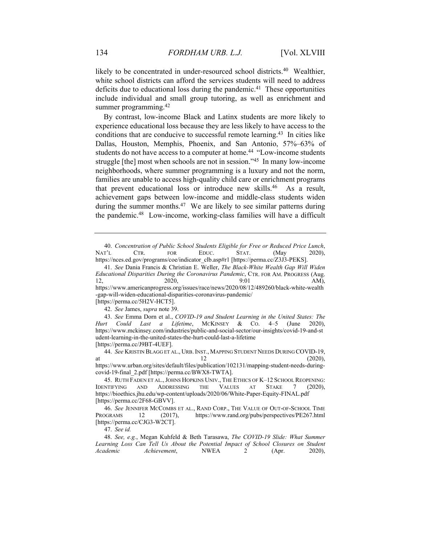likely to be concentrated in under-resourced school districts.<sup>40</sup> Wealthier, white school districts can afford the services students will need to address deficits due to educational loss during the pandemic.<sup>41</sup> These opportunities include individual and small group tutoring, as well as enrichment and summer programming.<sup>42</sup>

By contrast, low-income Black and Latinx students are more likely to experience educational loss because they are less likely to have access to the conditions that are conducive to successful remote learning.<sup>43</sup> In cities like Dallas, Houston, Memphis, Phoenix, and San Antonio, 57%–63% of students do not have access to a computer at home.<sup>44</sup> "Low-income students struggle [the] most when schools are not in session."45 In many low-income neighborhoods, where summer programming is a luxury and not the norm, families are unable to access high-quality child care or enrichment programs that prevent educational loss or introduce new skills.46 As a result, achievement gaps between low-income and middle-class students widen during the summer months.<sup>47</sup> We are likely to see similar patterns during the pandemic.48 Low-income, working-class families will have a difficult

-gap-will-widen-educational-disparities-coronavirus-pandemic/

43. *See* Emma Dorn et al., *COVID-19 and Student Learning in the United States: The Hurt Could Last a Lifetime*, MCKINSEY & CO. 4–5 (June 2020), https://www.mckinsey.com/industries/public-and-social-sector/our-insights/covid-19-and-st udent-learning-in-the-united-states-the-hurt-could-last-a-lifetime

[https://perma.cc/J9BT-4UEF].

44. *See* KRISTIN BLAGG ET AL., URB.INST., MAPPING STUDENT NEEDS DURING COVID-19, at  $12$  (2020), https://www.urban.org/sites/default/files/publication/102131/mapping-student-needs-duringcovid-19-final\_2.pdf [https://perma.cc/BWX8-TWTA].

47. *See id.*

48. *See, e.g.*, Megan Kuhfeld & Beth Tarasawa, *The COVID-19 Slide: What Summer*  Learning Loss Can Tell Us About the Potential Impact of School Closures on Student *Academic Achievement*, NWEA 2 (Apr. 2020),

<sup>40.</sup> *Concentration of Public School Students Eligible for Free or Reduced Price Lunch*, NAT'L CTR. FOR EDUC. STAT. (May 2020), https://nces.ed.gov/programs/coe/indicator\_clb.asp#r1 [https://perma.cc/Z3J3-PEKS].

<sup>41.</sup> *See* Dania Francis & Christian E. Weller, *The Black-White Wealth Gap Will Widen Educational Disparities During the Coronavirus Pandemic*, CTR. FOR AM. PROGRESS (Aug. 12, 2020, 9:01 AM), https://www.americanprogress.org/issues/race/news/2020/08/12/489260/black-white-wealth

<sup>[</sup>https://perma.cc/5H2V-HCT5]. 42. *See* James, *supra* note 39.

 <sup>45.</sup> RUTH FADEN ET AL.,JOHNS HOPKINS UNIV., THE ETHICS OF K–12 SCHOOL REOPENING: IDENTIFYING AND ADDRESSING THE VALUES AT STAKE 7 (2020), https://bioethics.jhu.edu/wp-content/uploads/2020/06/White-Paper-Equity-FINAL.pdf [https://perma.cc/2F68-GBVV].

<sup>46.</sup> *See* JENNIFER MCCOMBS ET AL., RAND CORP., THE VALUE OF OUT-OF-SCHOOL TIME PROGRAMS 12 (2017), https://www.rand.org/pubs/perspectives/PE267.html [https://perma.cc/CJG3-W2CT].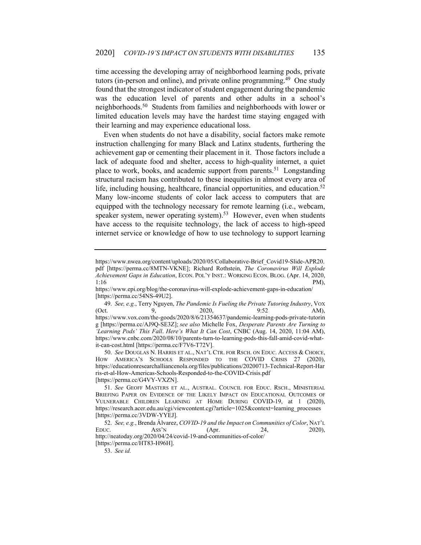time accessing the developing array of neighborhood learning pods, private tutors (in-person and online), and private online programming.<sup>49</sup> One study found that the strongest indicator of student engagement during the pandemic was the education level of parents and other adults in a school's neighborhoods.50 Students from families and neighborhoods with lower or limited education levels may have the hardest time staying engaged with their learning and may experience educational loss.

Even when students do not have a disability, social factors make remote instruction challenging for many Black and Latinx students, furthering the achievement gap or cementing their placement in it. Those factors include a lack of adequate food and shelter, access to high-quality internet, a quiet place to work, books, and academic support from parents.<sup>51</sup> Longstanding structural racism has contributed to these inequities in almost every area of life, including housing, healthcare, financial opportunities, and education.<sup>52</sup> Many low-income students of color lack access to computers that are equipped with the technology necessary for remote learning (i.e., webcam, speaker system, newer operating system).<sup>53</sup> However, even when students have access to the requisite technology, the lack of access to high-speed internet service or knowledge of how to use technology to support learning

50. *See* DOUGLAS N. HARRIS ET AL., NAT'L CTR. FOR RSCH. ON EDUC. ACCESS & CHOICE, HOW AMERICA'S SCHOOLS RESPONDED TO THE COVID CRISIS 27 (2020), https://educationresearchalliancenola.org/files/publications/20200713-Technical-Report-Har ris-et-al-How-Americas-Schools-Responded-to-the-COVID-Crisis.pdf [https://perma.cc/G4VY-VXZN].

[https://perma.cc/HT83-H96H].

https://www.nwea.org/content/uploads/2020/05/Collaborative-Brief\_Covid19-Slide-APR20. pdf [https://perma.cc/8MTN-VKNE]; Richard Rothstein, *The Coronavirus Will Explode Achievement Gaps in Education*, ECON. POL'Y INST.: WORKING ECON. BLOG. (Apr. 14, 2020,  $1:16$  PM),

https://www.epi.org/blog/the-coronavirus-will-explode-achievement-gaps-in-education/ [https://perma.cc/54NS-49U2].

<sup>49.</sup> *See, e.g.*, Terry Nguyen, *The Pandemic Is Fueling the Private Tutoring Industry*, VOX (Oct. 9, 2020, 9:52 AM), https://www.vox.com/the-goods/2020/8/6/21354637/pandemic-learning-pods-private-tutorin g [https://perma.cc/AJ9Q-SE3Z]; *see also* Michelle Fox, *Desperate Parents Are Turning to 'Learning Pods' This Fall*. *Here's What It Can Cost*, CNBC (Aug. 14, 2020, 11:04 AM), https://www.cnbc.com/2020/08/10/parents-turn-to-learning-pods-this-fall-amid-covid-whatit-can-cost.html [https://perma.cc/F7V6-T72V].

<sup>51.</sup> *See* GEOFF MASTERS ET AL., AUSTRAL. COUNCIL FOR EDUC. RSCH., MINISTERIAL BRIEFING PAPER ON EVIDENCE OF THE LIKELY IMPACT ON EDUCATIONAL OUTCOMES OF VULNERABLE CHILDREN LEARNING AT HOME DURING COVID-19, at 1 (2020), https://research.acer.edu.au/cgi/viewcontent.cgi?article=1025&context=learning\_processes [https://perma.cc/3VDW-YYEJ].

<sup>52.</sup> *See, e.g.*, Brenda Álvarez, *COVID-19 and the Impact on Communities of Color*, NAT'L EDUC. ASS'N (Apr. 24, 2020), http://neatoday.org/2020/04/24/covid-19-and-communities-of-color/

<sup>53.</sup> *See id.*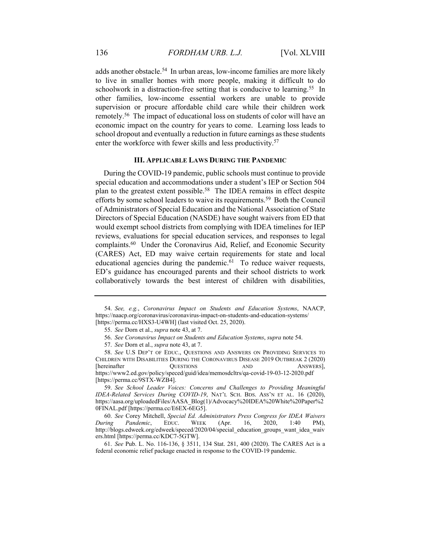adds another obstacle.<sup>54</sup> In urban areas, low-income families are more likely to live in smaller homes with more people, making it difficult to do schoolwork in a distraction-free setting that is conducive to learning.<sup>55</sup> In other families, low-income essential workers are unable to provide supervision or procure affordable child care while their children work remotely.56 The impact of educational loss on students of color will have an economic impact on the country for years to come. Learning loss leads to school dropout and eventually a reduction in future earnings as these students enter the workforce with fewer skills and less productivity.<sup>57</sup>

#### **III. APPLICABLE LAWS DURING THE PANDEMIC**

During the COVID-19 pandemic, public schools must continue to provide special education and accommodations under a student's IEP or Section 504 plan to the greatest extent possible.<sup>58</sup> The IDEA remains in effect despite efforts by some school leaders to waive its requirements.<sup>59</sup> Both the Council of Administrators of Special Education and the National Association of State Directors of Special Education (NASDE) have sought waivers from ED that would exempt school districts from complying with IDEA timelines for IEP reviews, evaluations for special education services, and responses to legal complaints.<sup>60</sup> Under the Coronavirus Aid, Relief, and Economic Security (CARES) Act, ED may waive certain requirements for state and local educational agencies during the pandemic. $61$  To reduce waiver requests, ED's guidance has encouraged parents and their school districts to work collaboratively towards the best interest of children with disabilities,

59. *See School Leader Voices: Concerns and Challenges to Providing Meaningful IDEA-Related Services During COVID-19*, NAT'L SCH. BDS. ASS'N ET AL. 16 (2020), https://aasa.org/uploadedFiles/AASA\_Blog(1)/Advocacy%20IDEA%20White%20Paper%2 0FINAL.pdf [https://perma.cc/E6EX-6EG5].

<sup>54.</sup> *See, e.g.*, *Coronavirus Impact on Students and Education Systems*, NAACP, https://naacp.org/coronavirus/coronavirus-impact-on-students-and-education-systems/ [https://perma.cc/HXS3-U4WH] (last visited Oct. 25, 2020).

<sup>55.</sup> *See* Dorn et al., *supra* note 43, at 7.

 <sup>56.</sup> *See Coronavirus Impact on Students and Education Systems*, *supra* note 54.

<sup>57.</sup> *See* Dorn et al., *supra* note 43, at 7.

<sup>58.</sup> *See* U.S DEP'T OF EDUC., QUESTIONS AND ANSWERS ON PROVIDING SERVICES TO CHILDREN WITH DISABILITIES DURING THE CORONAVIRUS DISEASE 2019 OUTBREAK 2 (2020) [hereinafter QUESTIONS AND ANSWERS], https://www2.ed.gov/policy/speced/guid/idea/memosdcltrs/qa-covid-19-03-12-2020.pdf [https://perma.cc/9STX-WZB4].

<sup>60.</sup> *See* Corey Mitchell, *Special Ed. Administrators Press Congress for IDEA Waivers During Pandemic*, EDUC. WEEK (Apr. 16, 2020, 1:40 PM), http://blogs.edweek.org/edweek/speced/2020/04/special\_education\_groups\_want\_idea\_waiv ers.html [https://perma.cc/KDC7-5GTW].

<sup>61.</sup> *See* Pub. L. No. 116-136, § 3511, 134 Stat. 281, 400 (2020). The CARES Act is a federal economic relief package enacted in response to the COVID-19 pandemic.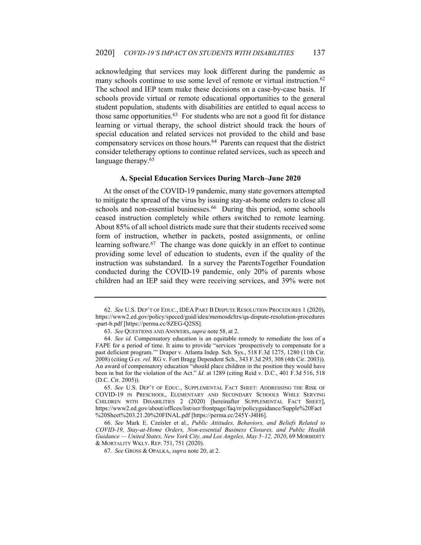acknowledging that services may look different during the pandemic as many schools continue to use some level of remote or virtual instruction.<sup>62</sup> The school and IEP team make these decisions on a case-by-case basis. If schools provide virtual or remote educational opportunities to the general student population, students with disabilities are entitled to equal access to those same opportunities. $63$  For students who are not a good fit for distance learning or virtual therapy, the school district should track the hours of special education and related services not provided to the child and base compensatory services on those hours.64 Parents can request that the district consider teletherapy options to continue related services, such as speech and language therapy.<sup>65</sup>

#### **A. Special Education Services During March–June 2020**

At the onset of the COVID-19 pandemic, many state governors attempted to mitigate the spread of the virus by issuing stay-at-home orders to close all schools and non-essential businesses.<sup>66</sup> During this period, some schools ceased instruction completely while others switched to remote learning. About 85% of all school districts made sure that their students received some form of instruction, whether in packets, posted assignments, or online learning software.<sup>67</sup> The change was done quickly in an effort to continue providing some level of education to students, even if the quality of the instruction was substandard. In a survey the ParentsTogether Foundation conducted during the COVID-19 pandemic, only 20% of parents whose children had an IEP said they were receiving services, and 39% were not

<sup>62.</sup> *See* U.S. DEP'T OF EDUC., IDEA PART B DISPUTE RESOLUTION PROCEDURES 1 (2020), https://www2.ed.gov/policy/speced/guid/idea/memosdcltrs/qa-dispute-resolution-procedures -part-b.pdf [https://perma.cc/8ZEG-Q2SS].

<sup>63.</sup> *See* QUESTIONS AND ANSWERS, *supra* note 58, at 2.

<sup>64.</sup> *See id.* Compensatory education is an equitable remedy to remediate the loss of a FAPE for a period of time. It aims to provide "services 'prospectively to compensate for a past deficient program.'" Draper v. Atlanta Indep. Sch. Sys., 518 F.3d 1275, 1280 (11th Cir. 2008) (citing G *ex. rel.* RG v. Fort Bragg Dependent Sch., 343 F.3d 295, 308 (4th Cir. 2003)). An award of compensatory education "should place children in the position they would have been in but for the violation of the Act." *Id.* at 1289 (citing Reid v. D.C., 401 F.3d 516, 518 (D.C. Cir. 2005)).

<sup>65.</sup> *See* U.S. DEP'T OF EDUC., SUPPLEMENTAL FACT SHEET: ADDRESSING THE RISK OF COVID-19 IN PRESCHOOL, ELEMENTARY AND SECONDARY SCHOOLS WHILE SERVING CHILDREN WITH DISABILITIES 2 (2020) [hereinafter SUPPLEMENTAL FACT SHEET], https://www2.ed.gov/about/offices/list/ocr/frontpage/faq/rr/policyguidance/Supple%20Fact %20Sheet%203.21.20%20FINAL.pdf [https://perma.cc/245Y-J4H6].

<sup>66.</sup> *See* Mark E. Czeisler et al., *Public Attitudes, Behaviors, and Beliefs Related to COVID-19, Stay-at-Home Orders, Non-essential Business Closures, and Public Health Guidance — United States, New York City, and Los Angeles, May 5–12, 2020*, 69 MORBIDITY & MORTALITY WKLY. REP. 751, 751 (2020).

 <sup>67.</sup> *See* GROSS & OPALKA, *supra* note 20, at 2.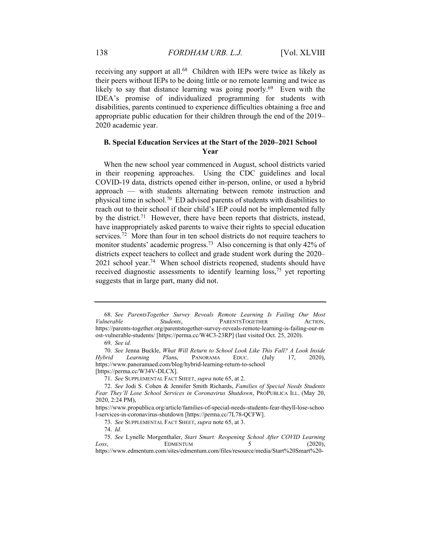receiving any support at all.<sup>68</sup> Children with IEPs were twice as likely as their peers without IEPs to be doing little or no remote learning and twice as likely to say that distance learning was going poorly.<sup>69</sup> Even with the IDEA's promise of individualized programming for students with disabilities, parents continued to experience difficulties obtaining a free and appropriate public education for their children through the end of the 2019– 2020 academic year.

#### **B. Special Education Services at the Start of the 2020–2021 School Year**

When the new school year commenced in August, school districts varied in their reopening approaches. Using the CDC guidelines and local COVID-19 data, districts opened either in-person, online, or used a hybrid approach — with students alternating between remote instruction and physical time in school.70 ED advised parents of students with disabilities to reach out to their school if their child's IEP could not be implemented fully by the district.<sup>71</sup> However, there have been reports that districts, instead, have inappropriately asked parents to waive their rights to special education services.<sup>72</sup> More than four in ten school districts do not require teachers to monitor students' academic progress.<sup>73</sup> Also concerning is that only 42% of districts expect teachers to collect and grade student work during the 2020–  $2021$  school year.<sup>74</sup> When school districts reopened, students should have received diagnostic assessments to identify learning loss,<sup>75</sup> yet reporting suggests that in large part, many did not.

<sup>68.</sup> *See ParentsTogether Survey Reveals Remote Learning Is Failing Our Most Vulnerable Students*, PARENTSTOGETHER ACTION, https://parents-together.org/parentstogether-survey-reveals-remote-learning-is-failing-our-m ost-vulnerable-students/ [https://perma.cc/W4C3-23RP] (last visited Oct. 25, 2020).

<sup>69.</sup> *See id.* 

<sup>70.</sup> *See* Jenna Buckle, *What Will Return to School Look Like This Fall? A Look Inside Hybrid Learning Plan*s, PANORAMA EDUC. (July 17, 2020), https://www.panoramaed.com/blog/hybrid-learning-return-to-school [https://perma.cc/W34V-DLCX].

<sup>71.</sup> *See* SUPPLEMENTAL FACT SHEET, *supra* note 65, at 2.

<sup>72.</sup> *See* Jodi S. Cohen & Jennifer Smith Richards, *Families of Special Needs Students Fear They'll Lose School Services in Coronavirus Shutdown*, PROPUBLICA ILL. (May 20, 2020, 2:24 PM),

https://www.propublica.org/article/families-of-special-needs-students-fear-theyll-lose-schoo l-services-in-coronavirus-shutdown [https://perma.cc/7L78-QCFW].

<sup>73.</sup> *See* SUPPLEMENTAL FACT SHEET, *supra* note 65, at 3.

<sup>74.</sup> *Id.* 

<sup>75.</sup> *See* Lynelle Morgenthaler, *Start Smart: Reopening School After COVID Learning Loss*, **EDMENTUM** 5 (2020), https://www.edmentum.com/sites/edmentum.com/files/resource/media/Start%20Smart%20-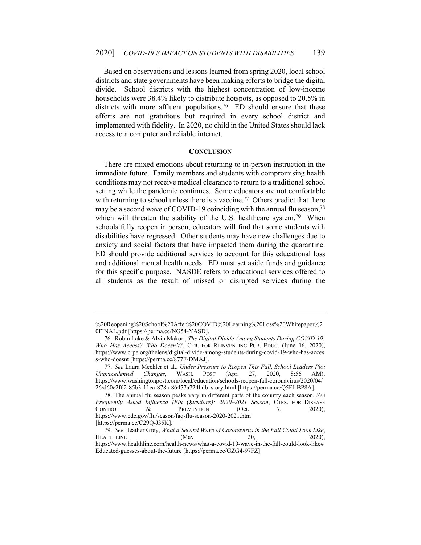Based on observations and lessons learned from spring 2020, local school districts and state governments have been making efforts to bridge the digital divide. School districts with the highest concentration of low-income households were 38.4% likely to distribute hotspots, as opposed to 20.5% in districts with more affluent populations.<sup>76</sup> ED should ensure that these efforts are not gratuitous but required in every school district and implemented with fidelity. In 2020, no child in the United States should lack access to a computer and reliable internet.

#### **CONCLUSION**

There are mixed emotions about returning to in-person instruction in the immediate future. Family members and students with compromising health conditions may not receive medical clearance to return to a traditional school setting while the pandemic continues. Some educators are not comfortable with returning to school unless there is a vaccine.<sup>77</sup> Others predict that there may be a second wave of COVID-19 coinciding with the annual flu season,  $78$ which will threaten the stability of the U.S. healthcare system.<sup>79</sup> When schools fully reopen in person, educators will find that some students with disabilities have regressed. Other students may have new challenges due to anxiety and social factors that have impacted them during the quarantine. ED should provide additional services to account for this educational loss and additional mental health needs. ED must set aside funds and guidance for this specific purpose. NASDE refers to educational services offered to all students as the result of missed or disrupted services during the

<sup>%20</sup>Reopening%20School%20After%20COVID%20Learning%20Loss%20Whitepaper%2 0FINAL.pdf [https://perma.cc/NG54-YASD].

 <sup>76.</sup> Robin Lake & Alvin Makori, *The Digital Divide Among Students During COVID-19: Who Has Access? Who Doesn't?*, CTR. FOR REINVENTING PUB. EDUC. (June 16, 2020), https://www.crpe.org/thelens/digital-divide-among-students-during-covid-19-who-has-acces s-who-doesnt [https://perma.cc/877F-DMAJ].

<sup>77.</sup> *See* Laura Meckler et al., *Under Pressure to Reopen This Fall, School Leaders Plot Unprecedented Changes*, WASH. POST (Apr. 27, 2020, 8:56 AM), https://www.washingtonpost.com/local/education/schools-reopen-fall-coronavirus/2020/04/ 26/d60e2f62-85b3-11ea-878a-86477a724bdb\_story.html [https://perma.cc/Q5FJ-BP8A].

 <sup>78.</sup> The annual flu season peaks vary in different parts of the country each season. *See Frequently Asked Influenza (Flu Questions): 2020–2021 Season*, CTRS. FOR DISEASE CONTROL & PREVENTION (Oct. 7, 2020), https://www.cdc.gov/flu/season/faq-flu-season-2020-2021.htm [https://perma.cc/C29Q-J35K].

<sup>79.</sup> *See* Heather Grey, *What a Second Wave of Coronavirus in the Fall Could Look Like*, HEALTHLINE (May 20, 2020), https://www.healthline.com/health-news/what-a-covid-19-wave-in-the-fall-could-look-like# Educated-guesses-about-the-future [https://perma.cc/GZG4-97FZ].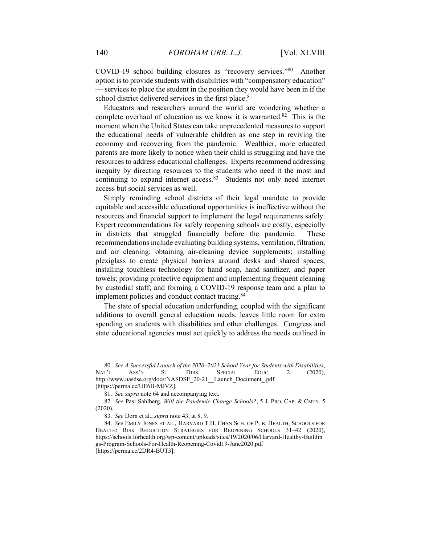COVID-19 school building closures as "recovery services."80 Another option is to provide students with disabilities with "compensatory education" — services to place the student in the position they would have been in if the school district delivered services in the first place.<sup>81</sup>

Educators and researchers around the world are wondering whether a complete overhaul of education as we know it is warranted.82 This is the moment when the United States can take unprecedented measures to support the educational needs of vulnerable children as one step in reviving the economy and recovering from the pandemic. Wealthier, more educated parents are more likely to notice when their child is struggling and have the resources to address educational challenges. Experts recommend addressing inequity by directing resources to the students who need it the most and continuing to expand internet access.83 Students not only need internet access but social services as well.

Simply reminding school districts of their legal mandate to provide equitable and accessible educational opportunities is ineffective without the resources and financial support to implement the legal requirements safely. Expert recommendations for safely reopening schools are costly, especially in districts that struggled financially before the pandemic. These recommendations include evaluating building systems, ventilation, filtration, and air cleaning; obtaining air-cleaning device supplements; installing plexiglass to create physical barriers around desks and shared spaces; installing touchless technology for hand soap, hand sanitizer, and paper towels; providing protective equipment and implementing frequent cleaning by custodial staff; and forming a COVID-19 response team and a plan to implement policies and conduct contact tracing.<sup>84</sup>

The state of special education underfunding, coupled with the significant additions to overall general education needs, leaves little room for extra spending on students with disabilities and other challenges. Congress and state educational agencies must act quickly to address the needs outlined in

<sup>80.</sup> *See A Successful Launch of the 2020–2021 School Year for Students with Disabilities*, NAT'L ASS'N ST. DIRS. SPECIAL EDUC. 2 (2020), http://www.nasdse.org/docs/NASDSE\_20-21\_\_Launch\_Document\_.pdf [https://perma.cc/UE6H-MJVZ].

<sup>81.</sup> *See supra* note 64 and accompanying text.

<sup>82.</sup> *See* Pasi Sahlberg, *Will the Pandemic Change Schools?*, 5 J. PRO. CAP. & CMTY. 5 (2020).

<sup>83.</sup> *See* Dorn et al., *supra* note 43, at 8, 9.

 <sup>84.</sup> *See* EMILY JONES ET AL., HARVARD T.H. CHAN SCH. OF PUB. HEALTH, SCHOOLS FOR HEALTH: RISK REDUCTION STRATEGIES FOR REOPENING SCHOOLS 31–42 (2020), https://schools.forhealth.org/wp-content/uploads/sites/19/2020/06/Harvard-Healthy-Buildin gs-Program-Schools-For-Health-Reopening-Covid19-June2020.pdf [https://perma.cc/2DR4-BUT3].